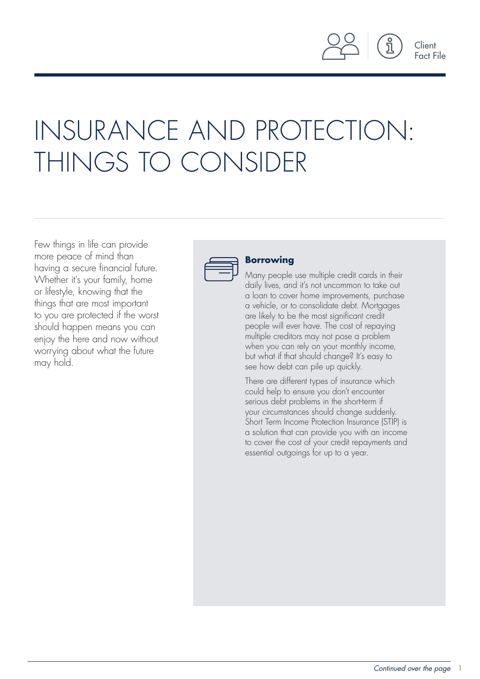Client Fact File

# INSURANCE AND PROTECTION: THINGS TO CONSIDER

Few things in life can provide more peace of mind than having a secure financial future. Whether it's your family, home or lifestyle, knowing that the things that are most important to you are protected if the worst should happen means you can enjoy the here and now without worrying about what the future may hold.



### **Borrowing**

Many people use multiple credit cards in their daily lives, and it's not uncommon to take out a loan to cover home improvements, purchase a vehicle, or to consolidate debt. Mortgages are likely to be the most significant credit people will ever have. The cost of repaying multiple creditors may not pose a problem when you can rely on your monthly income, but what if that should change? It's easy to see how debt can pile up quickly.

There are different types of insurance which could help to ensure you don't encounter serious debt problems in the short-term if your circumstances should change suddenly. Short Term Income Protection Insurance (STIP) is a solution that can provide you with an income to cover the cost of your credit repayments and essential outgoings for up to a year.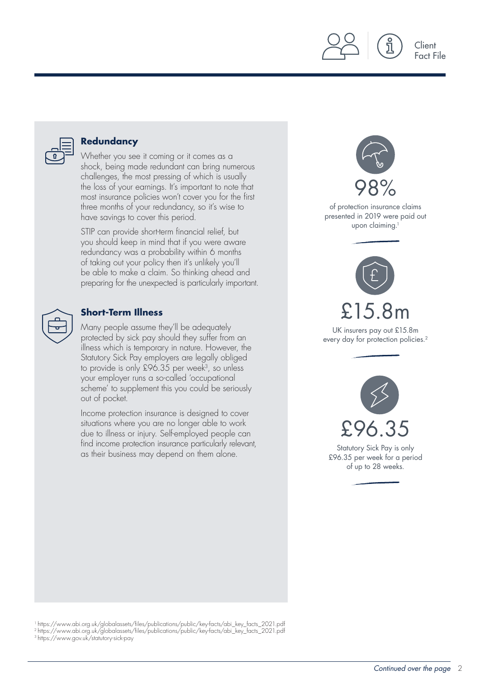

### **Redundancy**

Whether you see it coming or it comes as a shock, being made redundant can bring numerous challenges, the most pressing of which is usually the loss of your earnings. It's important to note that most insurance policies won't cover you for the first three months of your redundancy, so it's wise to have savings to cover this period.

STIP can provide short-term financial relief, but you should keep in mind that if you were aware redundancy was a probability within 6 months of taking out your policy then it's unlikely you'll be able to make a claim. So thinking ahead and preparing for the unexpected is particularly important.

### **Short-Term Illness**

Many people assume they'll be adequately protected by sick pay should they suffer from an illness which is temporary in nature. However, the Statutory Sick Pay employers are legally obliged to provide is only £96.35 per week<sup>3</sup>, so unless your employer runs a so-called 'occupational scheme' to supplement this you could be seriously out of pocket.

Income protection insurance is designed to cover situations where you are no longer able to work due to illness or injury. Self-employed people can find income protection insurance particularly relevant, as their business may depend on them alone.



Client Fact File

1 https://www.abi.org.uk/globalassets/files/publications/public/key-facts/abi\_key\_facts\_2021.pdf 2 https://www.abi.org.uk/globalassets/files/publications/public/key-facts/abi\_key\_facts\_2021.pdf

3 https://www.gov.uk/statutory-sick-pay